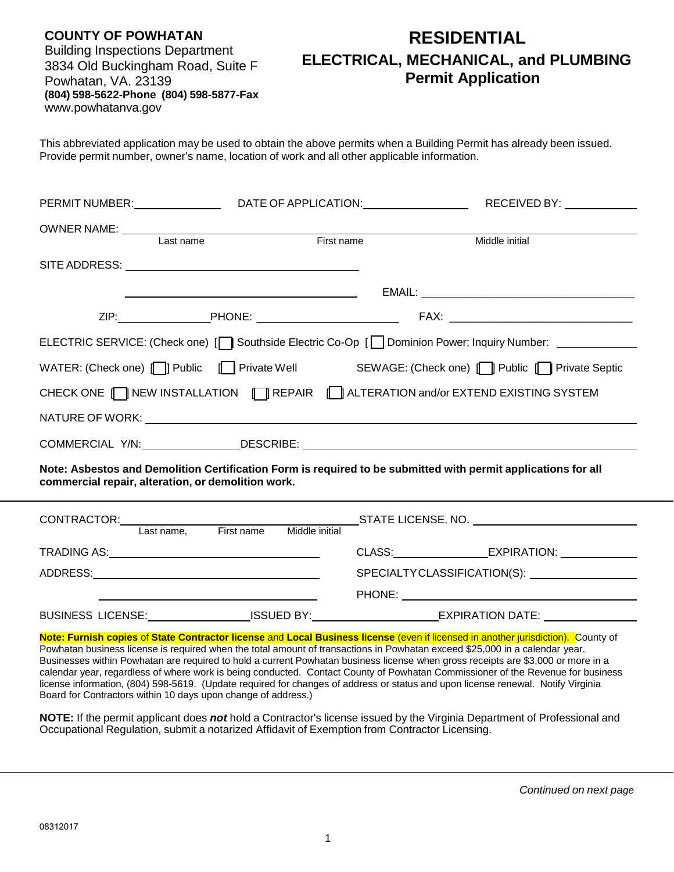| <b>COUNTY OF POWHATAN</b>               |
|-----------------------------------------|
| <b>Building Inspections Department</b>  |
| 3834 Old Buckingham Road, Suite F       |
| Powhatan, VA. 23139                     |
| (804) 598-5622-Phone (804) 598-5877-Fax |
| www.powhatanva.gov                      |

# **RESIDENTIAL ELECTRICAL, MECHANICAL, and PLUMBING Permit Application**

This abbreviated application may be used to obtain the above permits when a Building Permit has already been issued. Provide permit number, owner's name, location of work and all other applicable information.

|                                                    |                                                                                                                        |            | PERMIT NUMBER: ________________________DATE OF APPLICATION:______________________RECEIVED BY: _______________                                                                                                                                                    |
|----------------------------------------------------|------------------------------------------------------------------------------------------------------------------------|------------|------------------------------------------------------------------------------------------------------------------------------------------------------------------------------------------------------------------------------------------------------------------|
| OWNER NAME:<br>Last name                           |                                                                                                                        |            |                                                                                                                                                                                                                                                                  |
|                                                    |                                                                                                                        | First name | Middle initial                                                                                                                                                                                                                                                   |
|                                                    |                                                                                                                        |            |                                                                                                                                                                                                                                                                  |
|                                                    | <u> 1989 - Johann Barn, mars ann an t-Amhain an t-Amhain an t-Amhain an t-Amhain an t-Amhain an t-Amhain an t-Amh</u>  |            |                                                                                                                                                                                                                                                                  |
|                                                    |                                                                                                                        |            |                                                                                                                                                                                                                                                                  |
|                                                    |                                                                                                                        |            | ELECTRIC SERVICE: (Check one) [\] Southside Electric Co-Op [\] Dominion Power; Inquiry Number: \] ____________                                                                                                                                                   |
|                                                    |                                                                                                                        |            | WATER: (Check one) [ ]] Public [ ] Private Well SEWAGE: (Check one) [ ]] Public [ ] Private Septic                                                                                                                                                               |
|                                                    |                                                                                                                        |            | CHECK ONE TIMEW INSTALLATION TIREPAIR TIME ALTERATION and/or EXTEND EXISTING SYSTEM                                                                                                                                                                              |
|                                                    |                                                                                                                        |            |                                                                                                                                                                                                                                                                  |
|                                                    |                                                                                                                        |            |                                                                                                                                                                                                                                                                  |
| commercial repair, alteration, or demolition work. |                                                                                                                        |            | Note: Asbestos and Demolition Certification Form is required to be submitted with permit applications for all                                                                                                                                                    |
| CONTRACTOR: CONTRACTOR                             | Last name, First name Middle initial                                                                                   |            |                                                                                                                                                                                                                                                                  |
|                                                    |                                                                                                                        |            | CLASS: _______________________EXPIRATION: _________________                                                                                                                                                                                                      |
|                                                    |                                                                                                                        |            | SPECIALTYCLASSIFICATION(S): _________________                                                                                                                                                                                                                    |
|                                                    | <u> Alexandro Alexandro Alexandro Alexandro Alexandro Alexandro Alexandro Alexandro Alexandro Alexandro Alexandro </u> |            |                                                                                                                                                                                                                                                                  |
|                                                    |                                                                                                                        |            | BUSINESS LICENSE: ________________ISSUED BY: ______________________EXPIRATION DATE: _______________                                                                                                                                                              |
|                                                    |                                                                                                                        |            | Note: Furnish copies of State Contractor license and Local Business license (even if licensed in another jurisdiction). County of<br>Powhatan business license is required when the total amount of transactions in Powhatan exceed \$25,000 in a calendar vear. |

whatan business license is required when the total amount of transactions in Powhatan exceed \$25,000 in a calendar year. Businesses within Powhatan are required to hold a current Powhatan business license when gross receipts are \$3,000 or more in a calendar year, regardless of where work is being conducted. Contact County of Powhatan Commissioner of the Revenue for business license information, (804) 598-5619. (Update required for changes of address or status and upon license renewal. Notify Virginia Board for Contractors within 10 days upon change of address.)

**NOTE:** If the permit applicant does *not* hold a Contractor's license issued by the Virginia Department of Professional and Occupational Regulation, submit a notarized Affidavit of Exemption from Contractor Licensing.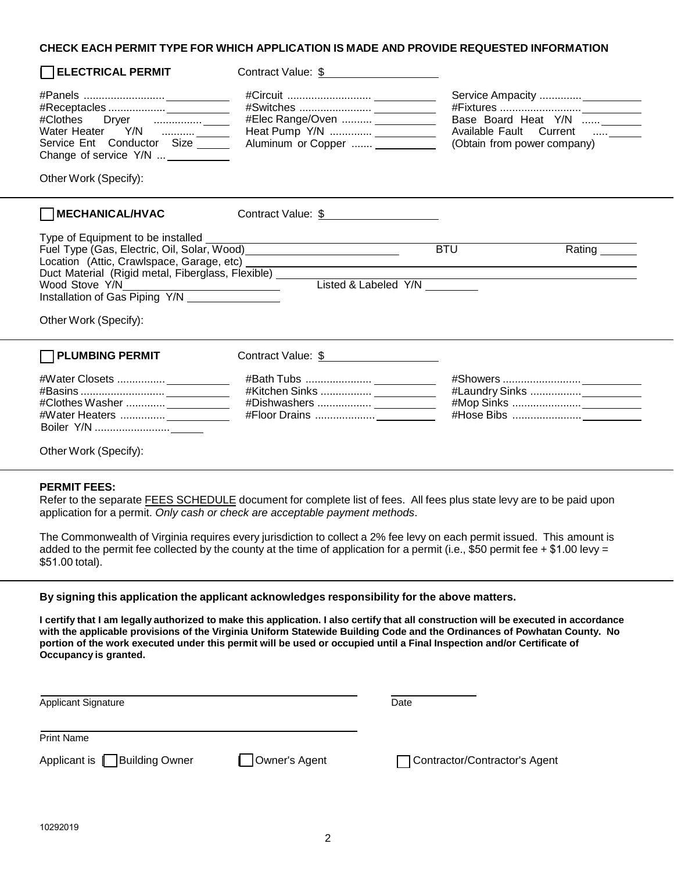## **CHECK EACH PERMIT TYPE FOR WHICH APPLICATION IS MADE AND PROVIDE REQUESTED INFORMATION**

| <b>ELECTRICAL PERMIT</b>                                                                                                                                                                                                                                                                         | Contract Value: \$                                                                               |                                                                                       |
|--------------------------------------------------------------------------------------------------------------------------------------------------------------------------------------------------------------------------------------------------------------------------------------------------|--------------------------------------------------------------------------------------------------|---------------------------------------------------------------------------------------|
| Service Ent Conductor Size<br>Change of service Y/N  ___________<br>Other Work (Specify):                                                                                                                                                                                                        | #Elec Range/Oven  ____________<br>Heat Pump Y/N  ____________<br>Aluminum or Copper  ___________ | Base Board Heat Y/N<br>Available Fault Current  ______<br>(Obtain from power company) |
| MECHANICAL/HVAC                                                                                                                                                                                                                                                                                  | Contract Value: \$                                                                               |                                                                                       |
| Type of Equipment to be installed<br>Fuel Type (Gas, Electric, Oil, Solar, Wood) [19] [2010] [2010] [2010] [2010] [2010] [2010] [2010] [2010] [2010<br>Duct Material (Rigid metal, Fiberglass, Flexible) __________<br>Wood Stove Y/N<br>Installation of Gas Piping Y/N<br>Other Work (Specify): | <u> 1989 - Johann Barn, amerikansk politiker (d. 1989)</u><br>Listed & Labeled Y/N ________      | <b>BTU</b><br><u> 1980 - Johann Barbara, martin da kasar Amerikaansk konstantin (</u> |
| <b>PLUMBING PERMIT</b>                                                                                                                                                                                                                                                                           | Contract Value: \$                                                                               |                                                                                       |
| #Water Closets  _____________<br>#Clothes Washer  _____________<br>#Water Heaters  ______________                                                                                                                                                                                                | #Dishwashers  _____________                                                                      |                                                                                       |
| Other Work (Specify):                                                                                                                                                                                                                                                                            |                                                                                                  |                                                                                       |

#### **PERMIT FEES:**

Refer to the separate FEES SCHEDULE document for complete list of fees. All fees plus state levy are to be paid upon application for a permit. *Only cash or check are acceptable payment methods*.

The Commonwealth of Virginia requires every jurisdiction to collect a 2% fee levy on each permit issued. This amount is added to the permit fee collected by the county at the time of application for a permit (i.e., \$50 permit fee  $+$  \$1.00 levy = \$51.00 total).

#### **By signing this application the applicant acknowledges responsibility for the above matters.**

I certify that I am legally authorized to make this application. I also certify that all construction will be executed in accordance **with the applicable provisions of the Virginia Uniform Statewide Building Code and the Ordinances of Powhatan County. No portion of the work executed under this permit will be used or occupied until a Final Inspection and/or Certificate of Occupancy is granted.**

| <b>Applicant Signature</b>    |               | Date                          |
|-------------------------------|---------------|-------------------------------|
| <b>Print Name</b>             |               |                               |
| Applicant is   Building Owner | Owner's Agent | Contractor/Contractor's Agent |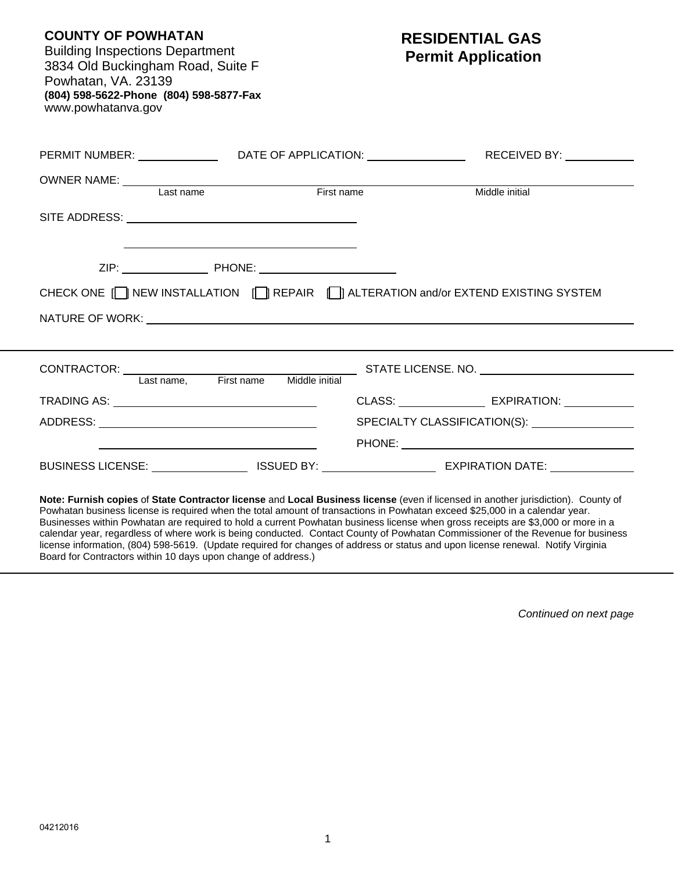| <b>COUNTY OF POWHATAN</b><br><b>Building Inspections Department</b><br>3834 Old Buckingham Road, Suite F<br>Powhatan, VA. 23139<br>(804) 598-5622-Phone (804) 598-5877-Fax<br>www.powhatanva.gov                                                                | <b>RESIDENTIAL GAS</b><br><b>Permit Application</b>         |
|-----------------------------------------------------------------------------------------------------------------------------------------------------------------------------------------------------------------------------------------------------------------|-------------------------------------------------------------|
| PERMIT NUMBER: __________________DATE OF APPLICATION: __________________________RECEIVED BY: ____________                                                                                                                                                       |                                                             |
|                                                                                                                                                                                                                                                                 |                                                             |
| OWNER NAME:<br>Last name<br>First name<br>First name                                                                                                                                                                                                            | Middle initial                                              |
|                                                                                                                                                                                                                                                                 |                                                             |
| <u> 1989 - Johann Harrison, fransk politik (d. 1989)</u><br>CHECK ONE IT NEW INSTALLATION IT REPAIR IT ALTERATION and/or EXTEND EXISTING SYSTEM                                                                                                                 |                                                             |
| CONTRACTOR: Last name, First name Middle initial STATE LICENSE. NO.                                                                                                                                                                                             |                                                             |
|                                                                                                                                                                                                                                                                 | CLASS: ________________________ EXPIRATION: _______________ |
|                                                                                                                                                                                                                                                                 | SPECIALTY CLASSIFICATION(S): _________________              |
|                                                                                                                                                                                                                                                                 | <b>PHONE: Example 2008</b>                                  |
| BUSINESS LICENSE: ____________________ISSUED BY: _______________________________ EXPIRATION DATE: ____________                                                                                                                                                  |                                                             |
| Note: Furnish copies of State Contractor license and Local Business license (even if licensed in another jurisdiction). County of<br>Powbatan business license is required when the total amount of transactions in Powbatan exceed \$25,000 in a calendar vear |                                                             |

Powhatan business license is required when the total amount of transactions in Powhatan exceed \$25,000 in a calendar year. Businesses within Powhatan are required to hold a current Powhatan business license when gross receipts are \$3,000 or more in a calendar year, regardless of where work is being conducted. Contact County of Powhatan Commissioner of the Revenue for business license information, (804) 598-5619. (Update required for changes of address or status and upon license renewal. Notify Virginia Board for Contractors within 10 days upon change of address.)

*Continued on next page*